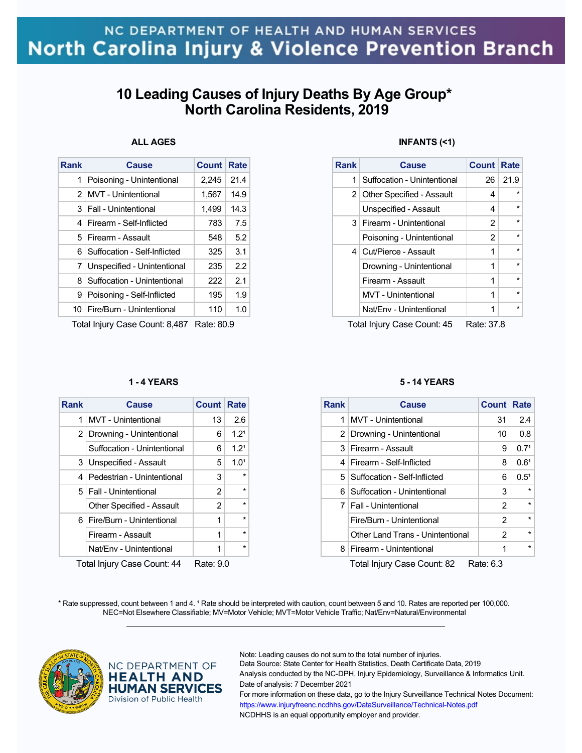# **10 Leading Causes of Injury Deaths By Age Group\* North Carolina Residents, 2019**

## **ALL AGES**

|                              | <b>Count</b> | Rate |
|------------------------------|--------------|------|
| Poisoning - Unintentional    | 2,245        | 21.4 |
| <b>MVT</b> - Unintentional   | 1,567        | 14.9 |
| <b>Fall - Unintentional</b>  | 1.499        | 14.3 |
| Firearm - Self-Inflicted     | 783          | 7.5  |
| Firearm - Assault            | 548          | 5.2  |
| Suffocation - Self-Inflicted | 325          | 3.1  |
| Unspecified - Unintentional  | 235          | 22   |
| Suffocation - Unintentional  | 222          | 2.1  |
| Poisoning - Self-Inflicted   | 195          | 1.9  |
| Fire/Burn - Unintentional    | 110          | 1.0  |
|                              |              |      |

Total Injury Case Count: 8,487 Rate: 80.9

### **1 - 4 YEARS**

| <b>Rank</b>                                             | <b>Cause</b>                     | <b>Count Rate</b> |                  |  |
|---------------------------------------------------------|----------------------------------|-------------------|------------------|--|
| 1                                                       | <b>MVT</b> - Unintentional       | 13                | 2.6              |  |
|                                                         | 2 Drowning - Unintentional       | 6                 | 1.2 <sup>1</sup> |  |
|                                                         | Suffocation - Unintentional      | 6                 | 1.2 <sup>1</sup> |  |
| 3                                                       | Unspecified - Assault            | 5                 | 1.0 <sup>1</sup> |  |
| 4                                                       | Pedestrian - Unintentional       | 3                 | $\star$          |  |
|                                                         | 5   Fall - Unintentional         | 2                 | $\star$          |  |
|                                                         | <b>Other Specified - Assault</b> | 2                 | $\star$          |  |
| 61                                                      | Fire/Burn - Unintentional        | 1                 | $\star$          |  |
|                                                         | Firearm - Assault                | 1                 | $\star$          |  |
|                                                         | Nat/Env - Unintentional          | 1                 | $\star$          |  |
| $T$ atal Inium (Casa Caunt, 11<br>D <sub>ata</sub> . 00 |                                  |                   |                  |  |

Total Injury Case Count: 44 Rate: 9.0

## **INFANTS (<1)**

| <b>Rank</b> | Cause                       | <b>Count Rate</b> |         |  |
|-------------|-----------------------------|-------------------|---------|--|
| 1           | Suffocation - Unintentional | 26                | 21.9    |  |
|             | 2 Other Specified - Assault | 4                 | $\star$ |  |
|             | Unspecified - Assault       | 4                 | $\star$ |  |
|             | 3   Firearm - Unintentional | 2                 | $\star$ |  |
|             | Poisoning - Unintentional   | 2                 | $\star$ |  |
|             | 4 Cut/Pierce - Assault      | 1                 | $\star$ |  |
|             | Drowning - Unintentional    | 1                 | $\star$ |  |
|             | Firearm - Assault           | 1                 | $\star$ |  |
|             | <b>MVT</b> - Unintentional  | 1                 | $\star$ |  |
|             | Nat/Env - Unintentional     | 1                 | $\star$ |  |
| .           |                             |                   |         |  |

Total Injury Case Count: 45 Rate: 37.8

#### **5 - 14 YEARS**

| <b>Rank</b> | Cause                            | Count | Rate             |
|-------------|----------------------------------|-------|------------------|
| 1           | <b>MVT</b> - Unintentional       | 31    | 2.4              |
|             | 2 Drowning - Unintentional       | 10    | 0.8              |
|             | 3 Firearm - Assault              | 9     | 0.7 <sup>1</sup> |
| 4           | Firearm - Self-Inflicted         | 8     | 0.6 <sup>1</sup> |
|             | 5   Suffocation - Self-Inflicted | 6     | $0.5^{1}$        |
| 6           | Suffocation - Unintentional      | 3     | $\star$          |
|             | 7   Fall - Unintentional         | 2     | $\star$          |
|             | Fire/Burn - Unintentional        | 2     | $\star$          |
|             | Other Land Trans - Unintentional | 2     | $\star$          |
| 8           | Firearm - Unintentional          | 1     | $\star$          |
|             |                                  |       |                  |

Total Injury Case Count: 82 Rate: 6.3

\* Rate suppressed, count between 1 and 4. <sup>1</sup> Rate should be interpreted with caution, count between 5 and 10. Rates are reported per 100,000. NEC=Not Elsewhere Classifiable; MV=Motor Vehicle; MVT=Motor Vehicle Traffic; Nat/Env=Natural/Environmental  $\mathcal{L}_\mathcal{L} = \{ \mathcal{L}_\mathcal{L} = \{ \mathcal{L}_\mathcal{L} = \{ \mathcal{L}_\mathcal{L} = \{ \mathcal{L}_\mathcal{L} = \{ \mathcal{L}_\mathcal{L} = \{ \mathcal{L}_\mathcal{L} = \{ \mathcal{L}_\mathcal{L} = \{ \mathcal{L}_\mathcal{L} = \{ \mathcal{L}_\mathcal{L} = \{ \mathcal{L}_\mathcal{L} = \{ \mathcal{L}_\mathcal{L} = \{ \mathcal{L}_\mathcal{L} = \{ \mathcal{L}_\mathcal{L} = \{ \mathcal{L}_\mathcal{$ 



### NC DEPARTMENT OF **HEALTH AND HUMAN SERVICES** Division of Public Health

Note: Leading causes do not sum to the total number of injuries.

Data Source: State Center for Health Statistics, Death Certificate Data, 2019 Analysis conducted by the NC-DPH, Injury Epidemiology, Surveillance & Informatics Unit. Date of analysis: 7 December 2021

For more information on these data, go to the Injury Surveillance Technical Notes Document: https://www.injuryfreenc.ncdhhs.gov/DataSurveillance/Technical-Notes.pdf NCDHHS is an equal opportunity employer and provider.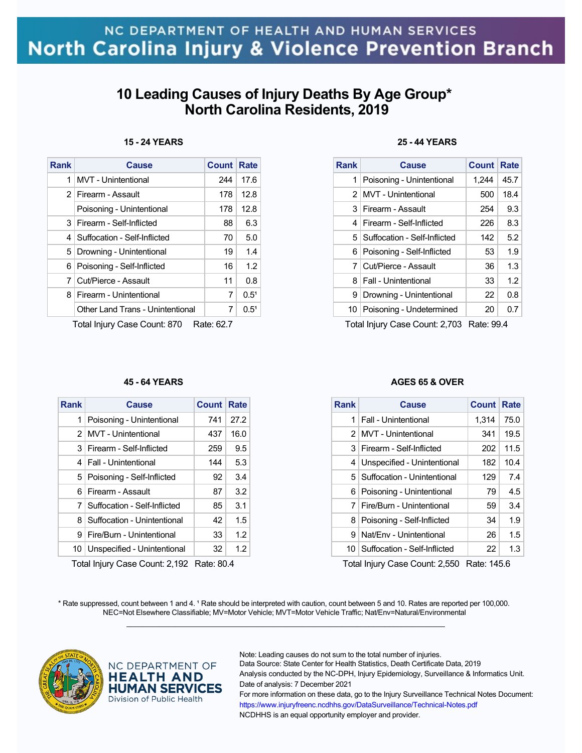# **10 Leading Causes of Injury Deaths By Age Group\* North Carolina Residents, 2019**

### **15 - 24 YEARS**

| <b>Rank</b>                                                | <b>Cause</b>                     | <b>Count</b> | Rate      |
|------------------------------------------------------------|----------------------------------|--------------|-----------|
| 1                                                          | MVT - Unintentional              | 244          | 17.6      |
| $\mathcal{P}$                                              | Firearm - Assault                | 178          | 12.8      |
|                                                            | Poisoning - Unintentional        | 178          | 12.8      |
| 3                                                          | Firearm - Self-Inflicted         | 88           | 6.3       |
| 4                                                          | Suffocation - Self-Inflicted     | 70           | 5.0       |
| 5                                                          | Drowning - Unintentional         | 19           | 1.4       |
| 6.                                                         | Poisoning - Self-Inflicted       | 16           | 1.2       |
| 7                                                          | Cut/Pierce - Assault             | 11           | 0.8       |
| 8                                                          | Firearm - Unintentional          | 7            | $0.5^{1}$ |
|                                                            | Other Land Trans - Unintentional | 7            | $0.5^{1}$ |
| $T$ otol Inium (Caso Count: 070<br>D <sub>oto</sub> : 69.7 |                                  |              |           |

Total Injury Case Count: 870 Rate: 62.7

#### **45 - 64 YEARS**

| <b>Rank</b> | <b>Cause</b>                     | Count | Rate    |
|-------------|----------------------------------|-------|---------|
| 1           | Poisoning - Unintentional        | 741   | 27.2    |
|             | 2 MVT - Unintentional            | 437   | 16.0    |
| 3           | Firearm - Self-Inflicted         | 259   | 9.5     |
| 4           | Fall - Unintentional             | 144   | 5.3     |
|             | 5 Poisoning - Self-Inflicted     | 92    | 3.4     |
| 6           | Firearm - Assault                | 87    | 3.2     |
|             | 7   Suffocation - Self-Inflicted | 85    | 3.1     |
| 8           | Suffocation - Unintentional      | 42    | 1.5     |
| 9           | Fire/Burn - Unintentional        | 33    | 1.2     |
| 10          | Unspecified - Unintentional      | 32    | $1.2\,$ |

Total Injury Case Count: 2,192 Rate: 80.4

## **25 - 44 YEARS**

| <b>Rank</b> | <b>Cause</b>                     | <b>Count</b> | Rate |
|-------------|----------------------------------|--------------|------|
| 1           | Poisoning - Unintentional        | 1,244        | 45.7 |
|             | 2 MVT - Unintentional            | 500          | 18.4 |
|             | 3 Firearm - Assault              | 254          | 9.3  |
|             | 4   Firearm - Self-Inflicted     | 226          | 8.3  |
|             | 5   Suffocation - Self-Inflicted | 142          | 5.2  |
|             | 6 Poisoning - Self-Inflicted     | 53           | 1.9  |
|             | 7 Cut/Pierce - Assault           | 36           | 1.3  |
|             | 8   Fall - Unintentional         | 33           | 1.2  |
|             | 9 Drowning - Unintentional       | 22           | 0.8  |
|             | 10 Poisoning - Undetermined      | 20           | 0.7  |

Total Injury Case Count: 2,703 Rate: 99.4

#### **AGES 65 & OVER**

| Rank | Cause                           | <b>Count</b> | Rate |
|------|---------------------------------|--------------|------|
| 1    | Fall - Unintentional            | 1,314        | 75.0 |
|      | 2 MVT - Unintentional           | 341          | 19.5 |
| 3    | Firearm - Self-Inflicted        | 202          | 11.5 |
| 4    | Unspecified - Unintentional     | 182          | 10.4 |
|      | 5   Suffocation - Unintentional | 129          | 7.4  |
| 6    | Poisoning - Unintentional       | 79           | 4.5  |
| 7    | Fire/Burn - Unintentional       | 59           | 3.4  |
| 8    | Poisoning - Self-Inflicted      | 34           | 1.9  |
| я    | Nat/Env - Unintentional         | 26           | 1.5  |
| 10   | Suffocation - Self-Inflicted    | 22           | 1.3  |

Total Injury Case Count: 2,550 Rate: 145.6

\* Rate suppressed, count between 1 and 4. <sup>1</sup> Rate should be interpreted with caution, count between 5 and 10. Rates are reported per 100,000. NEC=Not Elsewhere Classifiable; MV=Motor Vehicle; MVT=Motor Vehicle Traffic; Nat/Env=Natural/Environmental  $\mathcal{L}_\mathcal{L} = \{ \mathcal{L}_\mathcal{L} = \{ \mathcal{L}_\mathcal{L} = \{ \mathcal{L}_\mathcal{L} = \{ \mathcal{L}_\mathcal{L} = \{ \mathcal{L}_\mathcal{L} = \{ \mathcal{L}_\mathcal{L} = \{ \mathcal{L}_\mathcal{L} = \{ \mathcal{L}_\mathcal{L} = \{ \mathcal{L}_\mathcal{L} = \{ \mathcal{L}_\mathcal{L} = \{ \mathcal{L}_\mathcal{L} = \{ \mathcal{L}_\mathcal{L} = \{ \mathcal{L}_\mathcal{L} = \{ \mathcal{L}_\mathcal{$ 



### NC DEPARTMENT OF **HEALTH AND HUMAN SERVICES** Division of Public Health

Note: Leading causes do not sum to the total number of injuries.

Data Source: State Center for Health Statistics, Death Certificate Data, 2019 Analysis conducted by the NC-DPH, Injury Epidemiology, Surveillance & Informatics Unit. Date of analysis: 7 December 2021

For more information on these data, go to the Injury Surveillance Technical Notes Document: https://www.injuryfreenc.ncdhhs.gov/DataSurveillance/Technical-Notes.pdf NCDHHS is an equal opportunity employer and provider.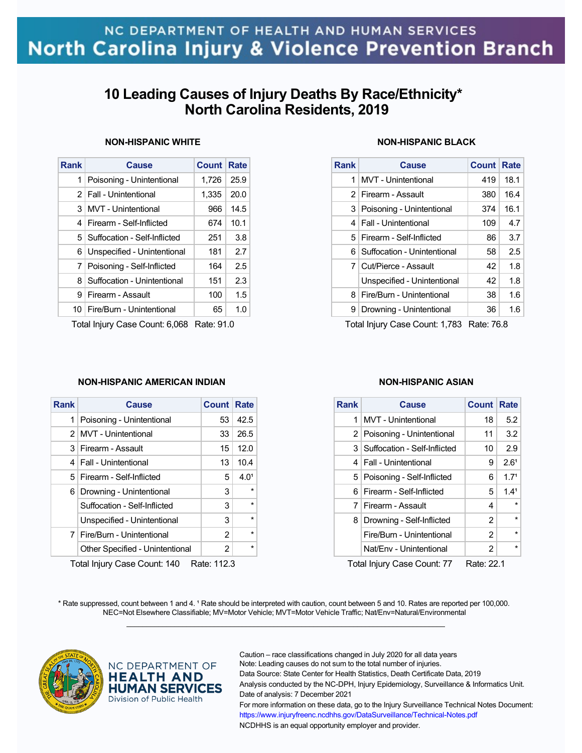# **10 Leading Causes of Injury Deaths By Race/Ethnicity\* North Carolina Residents, 2019**

## **NON-HISPANIC WHITE**

| <b>Rank</b>    | <b>Cause</b>                   | <b>Count</b> | Rate |
|----------------|--------------------------------|--------------|------|
| 1              | Poisoning - Unintentional      | 1,726        | 25.9 |
| 2 <sub>1</sub> | <b>Fall - Unintentional</b>    | 1,335        | 20.0 |
| 3              | <b>MVT</b> - Unintentional     | 966          | 14.5 |
| 4              | Firearm - Self-Inflicted       | 674          | 10.1 |
| 5 <sup>1</sup> | Suffocation - Self-Inflicted   | 251          | 3.8  |
| 6              | Unspecified - Unintentional    | 181          | 2.7  |
|                | 7 Poisoning - Self-Inflicted   | 164          | 2.5  |
| 8              | Suffocation - Unintentional    | 151          | 2.3  |
| 9              | Firearm - Assault              | 100          | 1.5  |
|                | 10   Fire/Burn - Unintentional | 65           | 1.0  |
|                |                                |              |      |

Total Injury Case Count: 6,068 Rate: 91.0

### **NON-HISPANIC AMERICAN INDIAN**

| <b>Rank</b>    | <b>Cause</b>                    | <b>Count Rate</b> |                  |
|----------------|---------------------------------|-------------------|------------------|
| 1              | Poisoning - Unintentional       | 53                | 42.5             |
| 2 <sup>1</sup> | <b>MVT</b> - Unintentional      | 33                | 26.5             |
|                | 3 Firearm - Assault             | 15                | 12.0             |
|                | 4   Fall - Unintentional        | 13                | 10.4             |
|                | 5   Firearm - Self-Inflicted    | 5                 | 4.0 <sup>1</sup> |
| 6              | Drowning - Unintentional        | 3                 | $\star$          |
|                | Suffocation - Self-Inflicted    | 3                 | $\star$          |
|                | Unspecified - Unintentional     | 3                 | $\star$          |
|                | 7   Fire/Burn - Unintentional   | 2                 | $\star$          |
|                | Other Specified - Unintentional | $\overline{2}$    | $\star$          |
|                |                                 |                   |                  |

Total Injury Case Count: 140 Rate: 112.3

## **NON-HISPANIC BLACK**

| <b>Rank</b> | Cause                           | <b>Count Rate</b> |      |
|-------------|---------------------------------|-------------------|------|
| 1           | <b>MVT</b> - Unintentional      | 419               | 18.1 |
|             | 2 Firearm - Assault             | 380               | 16.4 |
|             | 3   Poisoning - Unintentional   | 374               | 16.1 |
| 4           | <b>Fall - Unintentional</b>     | 109               | 4.7  |
|             | 5   Firearm - Self-Inflicted    | 86                | 3.7  |
|             | 6   Suffocation - Unintentional | 58                | 2.5  |
|             | 7 Cut/Pierce - Assault          | 42                | 1.8  |
|             | Unspecified - Unintentional     | 42                | 1.8  |
| 8           | Fire/Burn - Unintentional       | 38                | 1.6  |
| 9           | Drowning - Unintentional        | 36                | 1.6  |

Total Injury Case Count: 1,783 Rate: 76.8

### **NON-HISPANIC ASIAN**

| <b>Rank</b>    | <b>Cause</b>                 | <b>Count Rate</b> |                  |  |
|----------------|------------------------------|-------------------|------------------|--|
| 1              | <b>MVT</b> - Unintentional   | 18                | 5.2              |  |
|                | 2 Poisoning - Unintentional  | 11                | 3.2              |  |
| 3 <sup>1</sup> | Suffocation - Self-Inflicted | 10                | 2.9              |  |
| $\mathbf{4}$   | <b>Fall - Unintentional</b>  | 9                 | 2.6 <sup>1</sup> |  |
|                | 5 Poisoning - Self-Inflicted | 6                 | 1.7 <sup>1</sup> |  |
| 6              | Firearm - Self-Inflicted     | 5                 | 1.4 <sup>1</sup> |  |
| 7              | Firearm - Assault            | 4                 | $\star$          |  |
| 8              | Drowning - Self-Inflicted    | $\overline{2}$    | $\star$          |  |
|                | Fire/Burn - Unintentional    | 2                 | $\star$          |  |
|                | Nat/Env - Unintentional      | $\overline{2}$    | $\star$          |  |
|                |                              |                   |                  |  |

Total Injury Case Count: 77 Rate: 22.1

\* Rate suppressed, count between 1 and 4. <sup>1</sup> Rate should be interpreted with caution, count between 5 and 10. Rates are reported per 100,000. NEC=Not Elsewhere Classifiable; MV=Motor Vehicle; MVT=Motor Vehicle Traffic; Nat/Env=Natural/Environmental  $\mathcal{L}_\mathcal{L} = \{ \mathcal{L}_\mathcal{L} = \{ \mathcal{L}_\mathcal{L} = \{ \mathcal{L}_\mathcal{L} = \{ \mathcal{L}_\mathcal{L} = \{ \mathcal{L}_\mathcal{L} = \{ \mathcal{L}_\mathcal{L} = \{ \mathcal{L}_\mathcal{L} = \{ \mathcal{L}_\mathcal{L} = \{ \mathcal{L}_\mathcal{L} = \{ \mathcal{L}_\mathcal{L} = \{ \mathcal{L}_\mathcal{L} = \{ \mathcal{L}_\mathcal{L} = \{ \mathcal{L}_\mathcal{L} = \{ \mathcal{L}_\mathcal{$ 



## NC DEPARTMENT OF **HEALTH AND HUMAN SERVICES** Division of Public Health

Caution – race classifications changed in July 2020 for all data years Note: Leading causes do not sum to the total number of injuries. Data Source: State Center for Health Statistics, Death Certificate Data, 2019 Analysis conducted by the NC-DPH, Injury Epidemiology, Surveillance & Informatics Unit. Date of analysis: 7 December 2021 For more information on these data, go to the Injury Surveillance Technical Notes Document: https://www.injuryfreenc.ncdhhs.gov/DataSurveillance/Technical-Notes.pdf NCDHHS is an equal opportunity employer and provider.